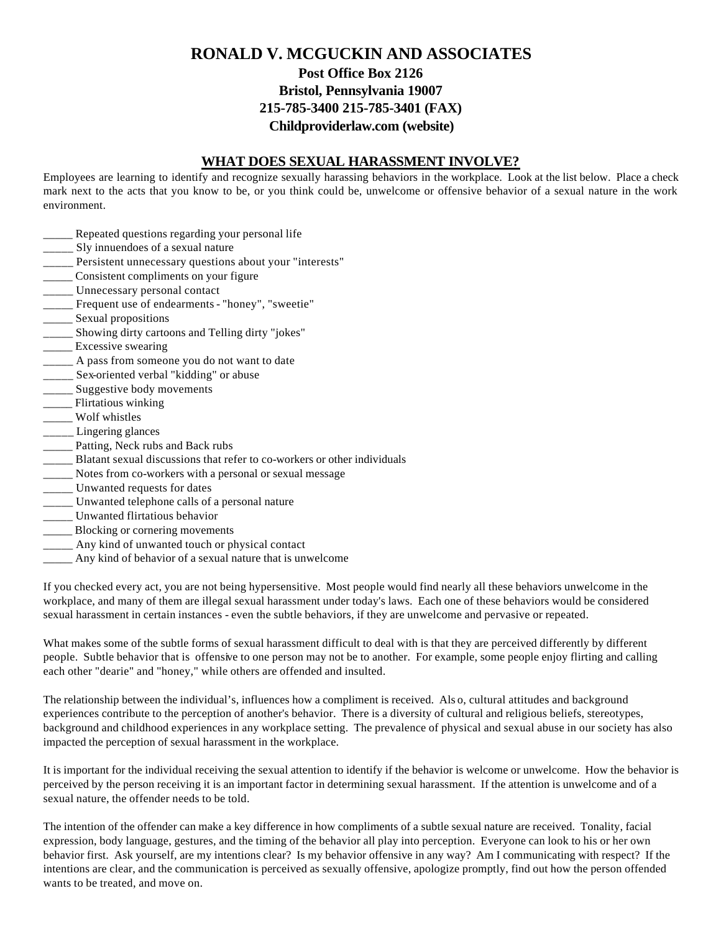# **RONALD V. MCGUCKIN AND ASSOCIATES Post Office Box 2126 Bristol, Pennsylvania 19007 215-785-3400 215-785-3401 (FAX) Childproviderlaw.com (website)**

#### **WHAT DOES SEXUAL HARASSMENT INVOLVE?**

Employees are learning to identify and recognize sexually harassing behaviors in the workplace. Look at the list below. Place a check mark next to the acts that you know to be, or you think could be, unwelcome or offensive behavior of a sexual nature in the work environment.

- **\_\_\_\_\_** Repeated questions regarding your personal life
- \_\_\_\_\_ Sly innuendoes of a sexual nature
- \_\_\_\_\_ Persistent unnecessary questions about your "interests"
- \_\_\_\_\_ Consistent compliments on your figure
- \_\_\_\_\_ Unnecessary personal contact
- \_\_\_\_\_ Frequent use of endearments "honey", "sweetie"
- \_\_\_\_\_\_ Sexual propositions
- \_\_\_\_\_ Showing dirty cartoons and Telling dirty "jokes"
- **\_\_\_\_\_** Excessive swearing
- \_\_\_\_\_ A pass from someone you do not want to date
- \_\_\_\_\_ Sex-oriented verbal "kidding" or abuse
- \_\_\_\_\_ Suggestive body movements
- \_\_\_\_\_ Flirtatious winking
- \_\_\_\_\_ Wolf whistles
- Lingering glances
- **\_\_\_\_\_** Patting, Neck rubs and Back rubs
- \_\_\_\_\_ Blatant sexual discussions that refer to co-workers or other individuals
- \_\_\_\_\_ Notes from co-workers with a personal or sexual message
- \_\_\_\_\_ Unwanted requests for dates
- \_\_\_\_\_ Unwanted telephone calls of a personal nature
- \_\_\_\_\_ Unwanted flirtatious behavior
- \_\_\_\_\_ Blocking or cornering movements
- \_\_\_\_\_ Any kind of unwanted touch or physical contact
- \_\_\_\_\_ Any kind of behavior of a sexual nature that is unwelcome

If you checked every act, you are not being hypersensitive. Most people would find nearly all these behaviors unwelcome in the workplace, and many of them are illegal sexual harassment under today's laws. Each one of these behaviors would be considered sexual harassment in certain instances - even the subtle behaviors, if they are unwelcome and pervasive or repeated.

What makes some of the subtle forms of sexual harassment difficult to deal with is that they are perceived differently by different people. Subtle behavior that is offensive to one person may not be to another. For example, some people enjoy flirting and calling each other "dearie" and "honey," while others are offended and insulted.

The relationship between the individual's, influences how a compliment is received. Als o, cultural attitudes and background experiences contribute to the perception of another's behavior. There is a diversity of cultural and religious beliefs, stereotypes, background and childhood experiences in any workplace setting. The prevalence of physical and sexual abuse in our society has also impacted the perception of sexual harassment in the workplace.

It is important for the individual receiving the sexual attention to identify if the behavior is welcome or unwelcome. How the behavior is perceived by the person receiving it is an important factor in determining sexual harassment. If the attention is unwelcome and of a sexual nature, the offender needs to be told.

The intention of the offender can make a key difference in how compliments of a subtle sexual nature are received. Tonality, facial expression, body language, gestures, and the timing of the behavior all play into perception. Everyone can look to his or her own behavior first. Ask yourself, are my intentions clear? Is my behavior offensive in any way? Am I communicating with respect? If the intentions are clear, and the communication is perceived as sexually offensive, apologize promptly, find out how the person offended wants to be treated, and move on.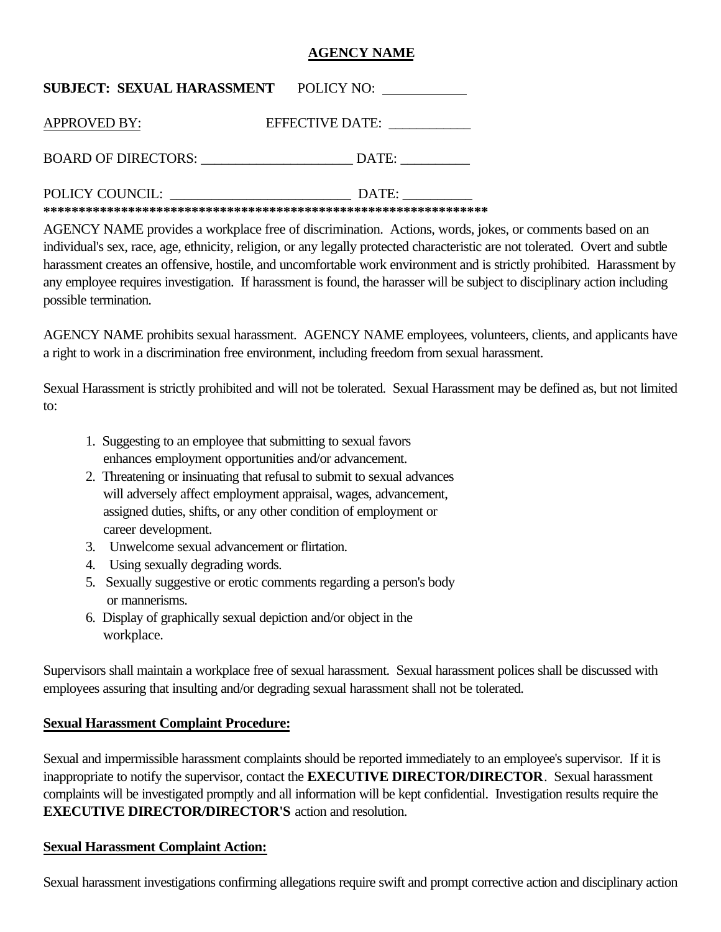# **AGENCY NAME**

| <b>SUBJECT: SEXUAL HARASSMENT POLICY NO:</b> |                 |
|----------------------------------------------|-----------------|
| <b>APPROVED BY:</b>                          | EFFECTIVE DATE: |
| BOARD OF DIRECTORS:                          | $\text{DATE:}$  |
| POLICY COUNCIL:                              | DATE:           |

**\*\*\*\*\*\*\*\*\*\*\*\*\*\*\*\*\*\*\*\*\*\*\*\*\*\*\*\*\*\*\*\*\*\*\*\*\*\*\*\*\*\*\*\*\*\*\*\*\*\*\*\*\*\*\*\*\*\*\*\*\*\*\*** 

AGENCY NAME provides a workplace free of discrimination. Actions, words, jokes, or comments based on an individual's sex, race, age, ethnicity, religion, or any legally protected characteristic are not tolerated. Overt and subtle harassment creates an offensive, hostile, and uncomfortable work environment and is strictly prohibited. Harassment by any employee requires investigation. If harassment is found, the harasser will be subject to disciplinary action including possible termination.

AGENCY NAME prohibits sexual harassment. AGENCY NAME employees, volunteers, clients, and applicants have a right to work in a discrimination free environment, including freedom from sexual harassment.

Sexual Harassment is strictly prohibited and will not be tolerated. Sexual Harassment may be defined as, but not limited to:

- 1. Suggesting to an employee that submitting to sexual favors enhances employment opportunities and/or advancement.
- 2. Threatening or insinuating that refusal to submit to sexual advances will adversely affect employment appraisal, wages, advancement, assigned duties, shifts, or any other condition of employment or career development.
- 3. Unwelcome sexual advancement or flirtation.
- 4. Using sexually degrading words.
- 5. Sexually suggestive or erotic comments regarding a person's body or mannerisms.
- 6. Display of graphically sexual depiction and/or object in the workplace.

Supervisors shall maintain a workplace free of sexual harassment. Sexual harassment polices shall be discussed with employees assuring that insulting and/or degrading sexual harassment shall not be tolerated.

## **Sexual Harassment Complaint Procedure:**

Sexual and impermissible harassment complaints should be reported immediately to an employee's supervisor. If it is inappropriate to notify the supervisor, contact the **EXECUTIVE DIRECTOR/DIRECTOR**. Sexual harassment complaints will be investigated promptly and all information will be kept confidential. Investigation results require the **EXECUTIVE DIRECTOR/DIRECTOR'S** action and resolution.

## **Sexual Harassment Complaint Action:**

Sexual harassment investigations confirming allegations require swift and prompt corrective action and disciplinary action